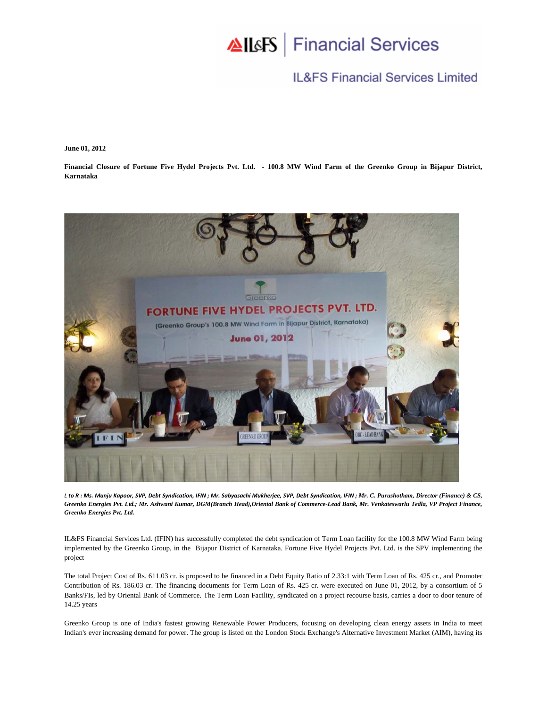## AllsFS | Financial Services

## **IL&FS Financial Services Limited**

**June 01, 2012** 

**Financial Closure of Fortune Five Hydel Projects Pvt. Ltd. - 100.8 MW Wind Farm of the Greenko Group in Bijapur District, Karnataka** 



L to R: Ms. Manju Kapoor, SVP, Debt Syndication, IFIN; Mr. Sabyasachi Mukherjee, SVP, Debt Syndication, IFIN; Mr. C. Purushotham, Director (Finance) & CS, *Greenko Energies Pvt. Ltd.; Mr. Ashwani Kumar, DGM(Branch Head),Oriental Bank of Commerce-Lead Bank, Mr. Venkateswarlu Tedla, VP Project Finance, Greenko Energies Pvt. Ltd.*

IL&FS Financial Services Ltd. (IFIN) has successfully completed the debt syndication of Term Loan facility for the 100.8 MW Wind Farm being implemented by the Greenko Group, in the Bijapur District of Karnataka. Fortune Five Hydel Projects Pvt. Ltd. is the SPV implementing the project

The total Project Cost of Rs. 611.03 cr. is proposed to be financed in a Debt Equity Ratio of 2.33:1 with Term Loan of Rs. 425 cr., and Promoter Contribution of Rs. 186.03 cr. The financing documents for Term Loan of Rs. 425 cr. were executed on June 01, 2012, by a consortium of 5 Banks/FIs, led by Oriental Bank of Commerce. The Term Loan Facility, syndicated on a project recourse basis, carries a door to door tenure of 14.25 years

Greenko Group is one of India's fastest growing Renewable Power Producers, focusing on developing clean energy assets in India to meet Indian's ever increasing demand for power. The group is listed on the London Stock Exchange's Alternative Investment Market (AIM), having its